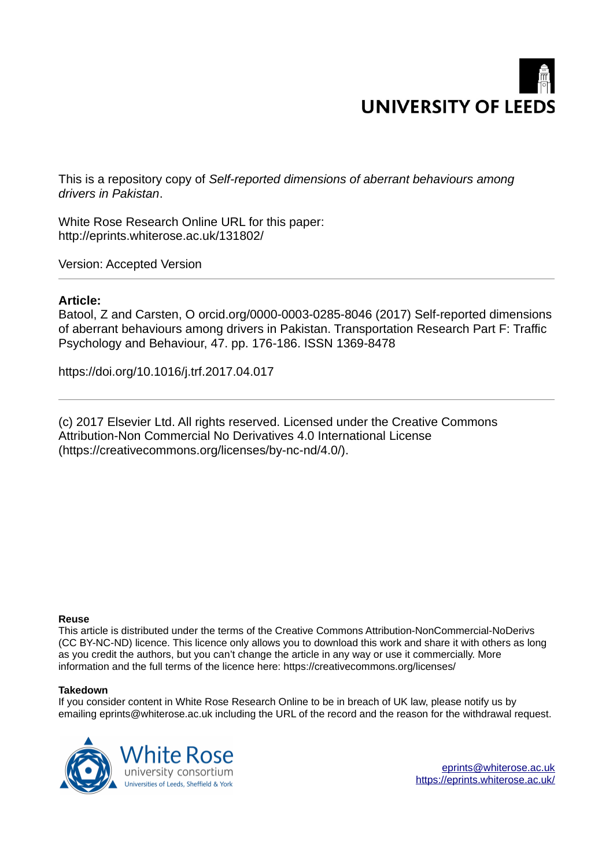

This is a repository copy of *Self-reported dimensions of aberrant behaviours among drivers in Pakistan*.

White Rose Research Online URL for this paper: http://eprints.whiterose.ac.uk/131802/

Version: Accepted Version

# **Article:**

Batool, Z and Carsten, O orcid.org/0000-0003-0285-8046 (2017) Self-reported dimensions of aberrant behaviours among drivers in Pakistan. Transportation Research Part F: Traffic Psychology and Behaviour, 47. pp. 176-186. ISSN 1369-8478

https://doi.org/10.1016/j.trf.2017.04.017

(c) 2017 Elsevier Ltd. All rights reserved. Licensed under the Creative Commons Attribution-Non Commercial No Derivatives 4.0 International License (https://creativecommons.org/licenses/by-nc-nd/4.0/).

#### **Reuse**

This article is distributed under the terms of the Creative Commons Attribution-NonCommercial-NoDerivs (CC BY-NC-ND) licence. This licence only allows you to download this work and share it with others as long as you credit the authors, but you can't change the article in any way or use it commercially. More information and the full terms of the licence here: https://creativecommons.org/licenses/

#### **Takedown**

If you consider content in White Rose Research Online to be in breach of UK law, please notify us by emailing eprints@whiterose.ac.uk including the URL of the record and the reason for the withdrawal request.



[eprints@whiterose.ac.uk](mailto:eprints@whiterose.ac.uk) <https://eprints.whiterose.ac.uk/>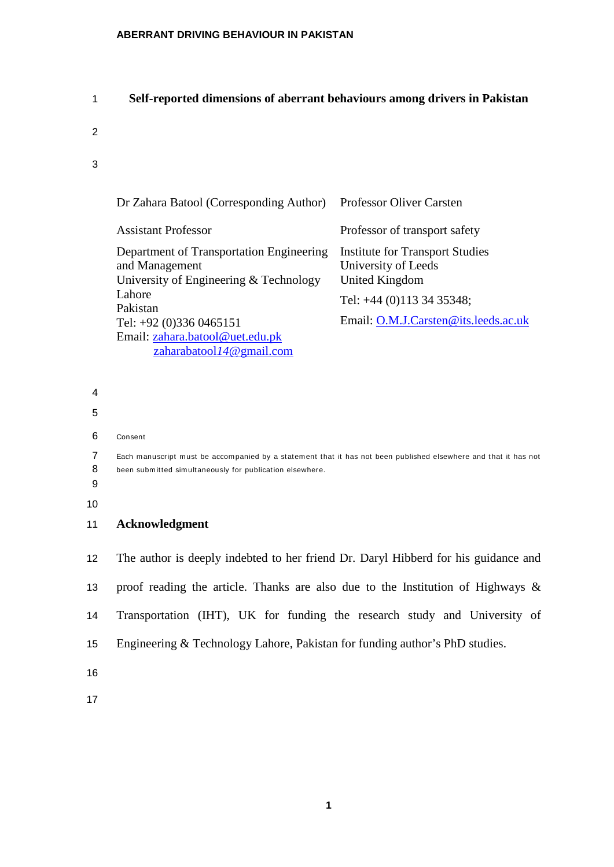# 1 **Self-reported dimensions of aberrant behaviours among drivers in Pakistan**

- 2
- 3

| Dr Zahara Batool (Corresponding Author)                                                              | <b>Professor Oliver Carsten</b>                                                        |
|------------------------------------------------------------------------------------------------------|----------------------------------------------------------------------------------------|
| <b>Assistant Professor</b>                                                                           | Professor of transport safety                                                          |
| Department of Transportation Engineering<br>and Management<br>University of Engineering & Technology | <b>Institute for Transport Studies</b><br>University of Leeds<br><b>United Kingdom</b> |
| Lahore<br>Pakistan                                                                                   | Tel: +44 (0)113 34 35348;                                                              |
| Tel: $+92$ (0)336 0465151                                                                            | Email: O.M.J.Carsten@its.leeds.ac.uk                                                   |
| Email: zahara.batool@uet.edu.pk                                                                      |                                                                                        |
| zaharabatool14@gmail.com                                                                             |                                                                                        |

- 4
- 
- 5
- 6 Consent

7 Each manuscript must be accompanied by a statement that it has not been published elsewhere and that it has not 8 been subm itted simultaneously for publication elsewhere.

- 9
- 10
- 11 **Acknowledgment**

 The author is deeply indebted to her friend Dr. Daryl Hibberd for his guidance and proof reading the article. Thanks are also due to the Institution of Highways & Transportation (IHT), UK for funding the research study and University of Engineering & Technology Lahore, Pakistan for funding author's PhD studies.

16

17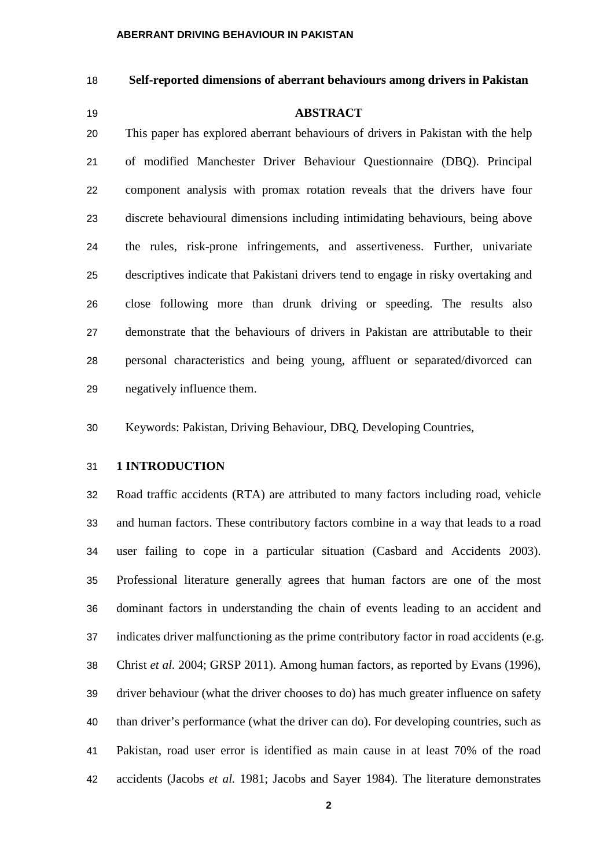# **Self-reported dimensions of aberrant behaviours among drivers in Pakistan**

**ABSTRACT**

 This paper has explored aberrant behaviours of drivers in Pakistan with the help of modified Manchester Driver Behaviour Questionnaire (DBQ). Principal component analysis with promax rotation reveals that the drivers have four discrete behavioural dimensions including intimidating behaviours, being above the rules, risk-prone infringements, and assertiveness. Further, univariate descriptives indicate that Pakistani drivers tend to engage in risky overtaking and close following more than drunk driving or speeding. The results also demonstrate that the behaviours of drivers in Pakistan are attributable to their personal characteristics and being young, affluent or separated/divorced can negatively influence them.

Keywords: Pakistan, Driving Behaviour, DBQ, Developing Countries,

#### **1 INTRODUCTION**

 Road traffic accidents (RTA) are attributed to many factors including road, vehicle and human factors. These contributory factors combine in a way that leads to a road user failing to cope in a particular situation [\(Casbard and Accidents 2003\)](#page-23-0). Professional literature generally agrees that human factors are one of the most dominant factors in understanding the chain of events leading to an accident and indicates driver malfunctioning as the prime contributory factor in road accidents (e.g. [Christ](#page-23-0) *et al.* 2004; [GRSP 2011\)](#page-23-1). Among human factors, as reported by Evans (1996), driver behaviour (what the driver chooses to do) has much greater influence on safety than driver's performance (what the driver can do). For developing countries, such as Pakistan, road user error is identified as main cause in at least 70% of the road accidents [\(Jacobs](#page-23-2) *et al.* 1981; [Jacobs and Sayer 1984\)](#page-23-1). The literature demonstrates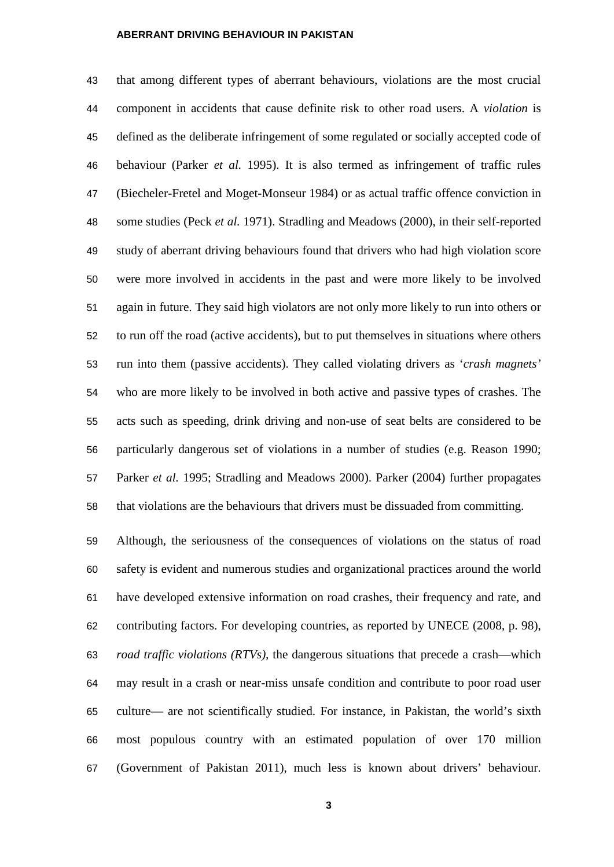that among different types of aberrant behaviours, violations are the most crucial component in accidents that cause definite risk to other road users. A *violation* is defined as the deliberate infringement of some regulated or socially accepted code of behaviour [\(Parker](#page-23-3) *et al.* 1995). It is also termed as infringement of traffic rules [\(Biecheler-Fretel and Moget-Monseur 1984\)](#page-23-0) or as actual traffic offence conviction in some studies (Peck *et al.* [1971\)](#page-23-4). Stradling and Meadows (2000), in their self-reported study of aberrant driving behaviours found that drivers who had high violation score were more involved in accidents in the past and were more likely to be involved again in future. They said high violators are not only more likely to run into others or to run off the road (active accidents), but to put themselves in situations where others run into them (passive accidents). They called violating drivers as '*crash magnets'* who are more likely to be involved in both active and passive types of crashes. The acts such as speeding, drink driving and non-use of seat belts are considered to be particularly dangerous set of violations in a number of studies (e.g. [Reason 1990;](#page-23-5) [Parker](#page-23-3) *et al.* 1995; [Stradling and Meadows 2000\)](#page-23-4). Parker (2004) further propagates that violations are the behaviours that drivers must be dissuaded from committing.

 Although, the seriousness of the consequences of violations on the status of road safety is evident and numerous studies and organizational practices around the world have developed extensive information on road crashes, their frequency and rate, and contributing factors. For developing countries, as reported by UNECE (2008, p. 98), *road traffic violations (RTVs),* the dangerous situations that precede a crash—which may result in a crash or near-miss unsafe condition and contribute to poor road user culture— are not scientifically studied. For instance, in Pakistan, the world's sixth most populous country with an estimated population of over 170 million (Government of Pakistan 2011), much less is known about drivers' behaviour.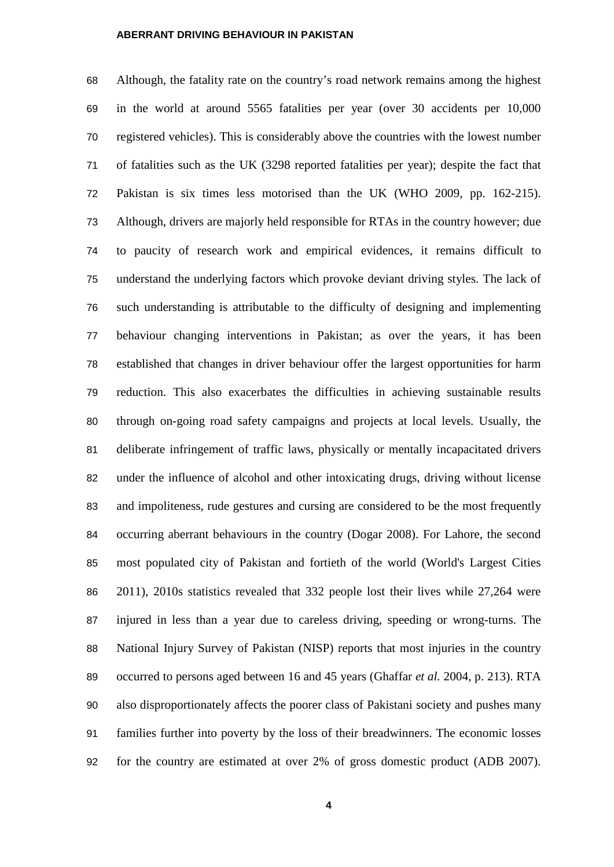Although, the fatality rate on the country's road network remains among the highest in the world at around 5565 fatalities per year (over 30 accidents per 10,000 registered vehicles). This is considerably above the countries with the lowest number of fatalities such as the UK (3298 reported fatalities per year); despite the fact that Pakistan is six times less motorised than the UK (WHO 2009, pp. 162-215). Although, drivers are majorly held responsible for RTAs in the country however; due to paucity of research work and empirical evidences, it remains difficult to understand the underlying factors which provoke deviant driving styles. The lack of such understanding is attributable to the difficulty of designing and implementing behaviour changing interventions in Pakistan; as over the years, it has been established that changes in driver behaviour offer the largest opportunities for harm reduction. This also exacerbates the difficulties in achieving sustainable results through on-going road safety campaigns and projects at local levels. Usually, the deliberate infringement of traffic laws, physically or mentally incapacitated drivers under the influence of alcohol and other intoxicating drugs, driving without license and impoliteness, rude gestures and cursing are considered to be the most frequently occurring aberrant behaviours in the country (Dogar 2008). For Lahore, the second most populated city of Pakistan and fortieth of the world (World's Largest Cities 2011), 2010s statistics revealed that 332 people lost their lives while 27,264 were injured in less than a year due to careless driving, speeding or wrong-turns. The National Injury Survey of Pakistan (NISP) reports that most injuries in the country occurred to persons aged between 16 and 45 years [\(Ghaffar](#page-26-0) *et al.* 2004, p. 213). RTA also disproportionately affects the poorer class of Pakistani society and pushes many families further into poverty by the loss of their breadwinners. The economic losses for the country are estimated at over 2% of gross domestic product (ADB 2007).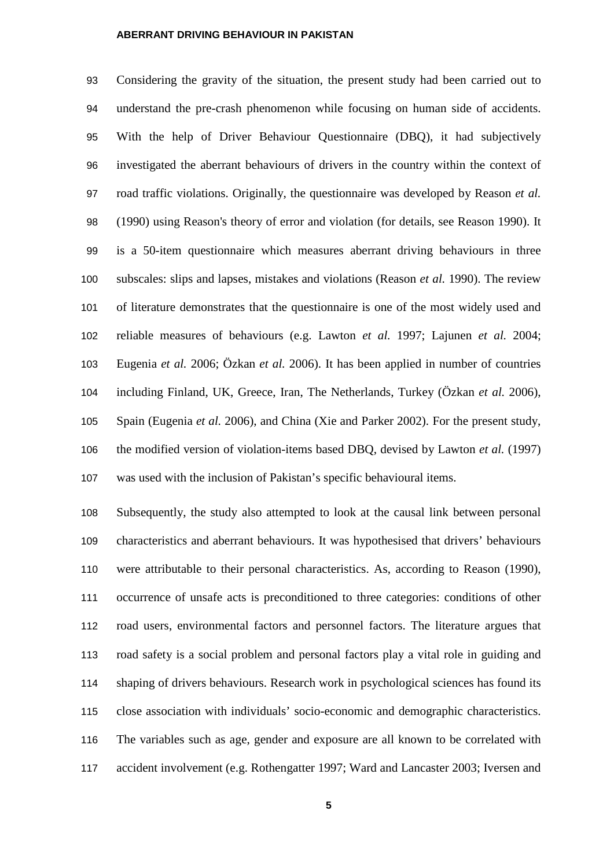Considering the gravity of the situation, the present study had been carried out to understand the pre-crash phenomenon while focusing on human side of accidents. With the help of Driver Behaviour Questionnaire (DBQ), it had subjectively investigated the aberrant behaviours of drivers in the country within the context of road traffic violations. Originally, the questionnaire was developed by Reason *et al.* (1990) using Reason's theory of error and violation (for details, see Reason 1990). It is a 50-item questionnaire which measures aberrant driving behaviours in three subscales: slips and lapses, mistakes and violations (Reason *et al.* 1990). The review of literature demonstrates that the questionnaire is one of the most widely used and reliable measures of behaviours (e.g. [Lawton](#page-23-6) *et al.* 1997; [Lajunen](#page-23-7) *et al.* 2004; [Eugenia](#page-23-8) *et al.* 2006; [Özkan](#page-23-9) *et al.* 2006). It has been applied in number of countries including Finland, UK, Greece, Iran, The Netherlands, Turkey [\(Özkan](#page-23-5) *et al.* 2006), Spain [\(Eugenia](#page-23-2) *et al.* 2006), and China [\(Xie and Parker 2002\)](#page-23-10). For the present study, the modified version of violation-items based DBQ, devised by Lawton *et al.* (1997) was used with the inclusion of Pakistan's specific behavioural items.

 Subsequently, the study also attempted to look at the causal link between personal characteristics and aberrant behaviours. It was hypothesised that drivers' behaviours were attributable to their personal characteristics. As, according to Reason (1990), occurrence of unsafe acts is preconditioned to three categories: conditions of other road users, environmental factors and personnel factors. The literature argues that road safety is a social problem and personal factors play a vital role in guiding and shaping of drivers behaviours. Research work in psychological sciences has found its close association with individuals' socio-economic and demographic characteristics. The variables such as age, gender and exposure are all known to be correlated with accident involvement (e.g. [Rothengatter 1997;](#page-23-10) [Ward and Lancaster 2003;](#page-24-0) [Iversen and](#page-23-8)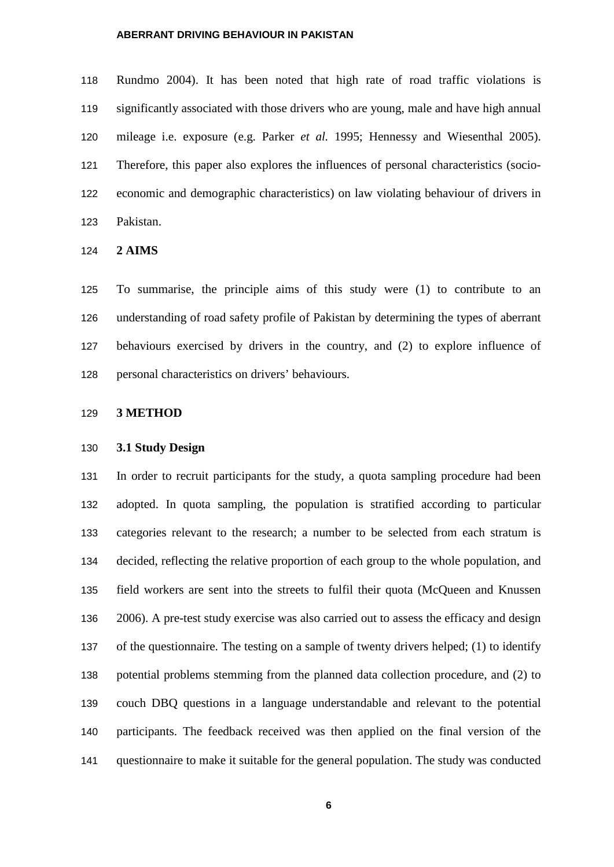[Rundmo 2004\)](#page-23-8). It has been noted that high rate of road traffic violations is significantly associated with those drivers who are young, male and have high annual mileage i.e. exposure (e.g. Parker *et al.* 1995; [Hennessy and Wiesenthal 2005\)](#page-23-8). Therefore, this paper also explores the influences of personal characteristics (socio- economic and demographic characteristics) on law violating behaviour of drivers in Pakistan.

**2 AIMS**

 To summarise, the principle aims of this study were (1) to contribute to an understanding of road safety profile of Pakistan by determining the types of aberrant behaviours exercised by drivers in the country, and (2) to explore influence of personal characteristics on drivers' behaviours.

# **3 METHOD**

## **3.1 Study Design**

 In order to recruit participants for the study, a quota sampling procedure had been adopted. In quota sampling, the population is stratified according to particular categories relevant to the research; a number to be selected from each stratum is decided, reflecting the relative proportion of each group to the whole population, and field workers are sent into the streets to fulfil their quota [\(McQueen and Knussen](#page-23-10)  [2006\)](#page-23-10). A pre-test study exercise was also carried out to assess the efficacy and design of the questionnaire. The testing on a sample of twenty drivers helped; (1) to identify potential problems stemming from the planned data collection procedure, and (2) to couch DBQ questions in a language understandable and relevant to the potential participants. The feedback received was then applied on the final version of the questionnaire to make it suitable for the general population. The study was conducted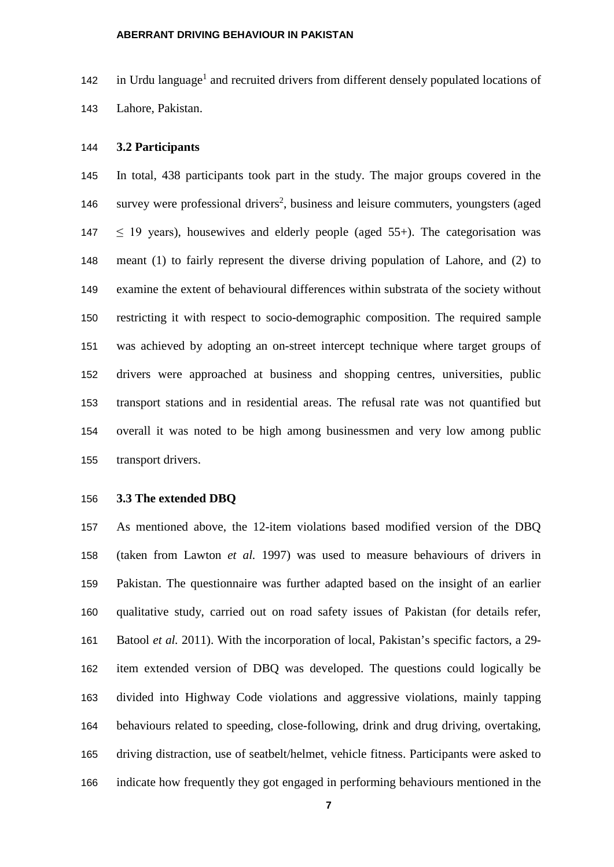142 in Urdu language<sup>1</sup> and recruited drivers from different densely populated locations of Lahore, Pakistan.

#### **3.2 Participants**

 In total, 438 participants took part in the study. The major groups covered in the 146 survey were professional drivers<sup>2</sup>, business and leisure commuters, youngsters (aged  $\leq$  19 years), housewives and elderly people (aged 55+). The categorisation was meant (1) to fairly represent the diverse driving population of Lahore, and (2) to examine the extent of behavioural differences within substrata of the society without restricting it with respect to socio-demographic composition. The required sample was achieved by adopting an on-street intercept technique where target groups of drivers were approached at business and shopping centres, universities, public transport stations and in residential areas. The refusal rate was not quantified but overall it was noted to be high among businessmen and very low among public transport drivers.

# **3.3 The extended DBQ**

 As mentioned above, the 12-item violations based modified version of the DBQ (taken from [Lawton](#page-23-11) *et al.* 1997) was used to measure behaviours of drivers in Pakistan. The questionnaire was further adapted based on the insight of an earlier qualitative study, carried out on road safety issues of Pakistan (for details refer, [Batool](#page-23-0) *et al.* 2011). With the incorporation of local, Pakistan's specific factors, a 29- item extended version of DBQ was developed. The questions could logically be divided into Highway Code violations and aggressive violations, mainly tapping behaviours related to speeding, close-following, drink and drug driving, overtaking, driving distraction, use of seatbelt/helmet, vehicle fitness. Participants were asked to indicate how frequently they got engaged in performing behaviours mentioned in the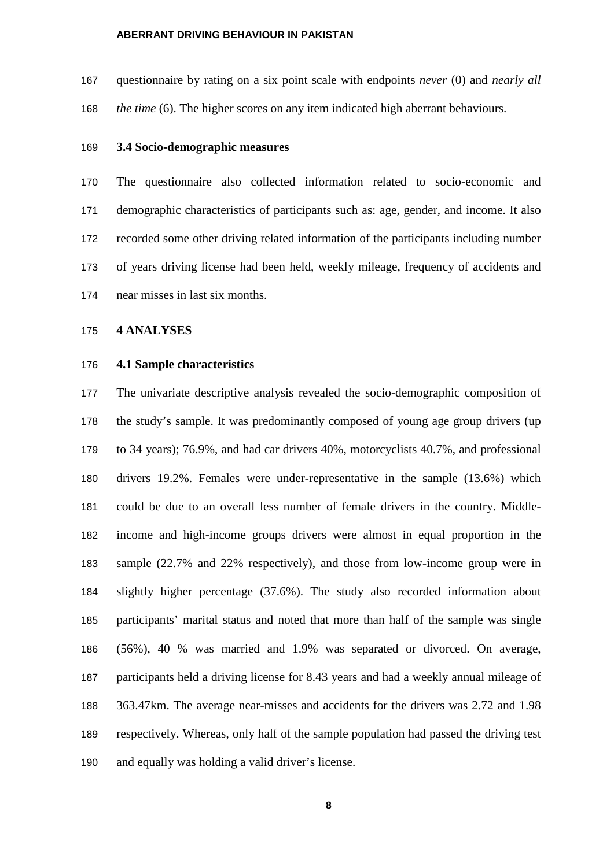questionnaire by rating on a six point scale with endpoints *never* (0) and *nearly all the time* (6). The higher scores on any item indicated high aberrant behaviours.

#### **3.4 Socio-demographic measures**

 The questionnaire also collected information related to socio-economic and demographic characteristics of participants such as: age, gender, and income. It also recorded some other driving related information of the participants including number of years driving license had been held, weekly mileage, frequency of accidents and near misses in last six months.

### **4 ANALYSES**

#### **4.1 Sample characteristics**

 The univariate descriptive analysis revealed the socio-demographic composition of the study's sample. It was predominantly composed of young age group drivers (up to 34 years); 76.9%, and had car drivers 40%, motorcyclists 40.7%, and professional drivers 19.2%. Females were under-representative in the sample (13.6%) which could be due to an overall less number of female drivers in the country. Middle- income and high-income groups drivers were almost in equal proportion in the sample (22.7% and 22% respectively), and those from low-income group were in slightly higher percentage (37.6%). The study also recorded information about participants' marital status and noted that more than half of the sample was single (56%), 40 % was married and 1.9% was separated or divorced. On average, participants held a driving license for 8.43 years and had a weekly annual mileage of 363.47km. The average near-misses and accidents for the drivers was 2.72 and 1.98 respectively. Whereas, only half of the sample population had passed the driving test and equally was holding a valid driver's license.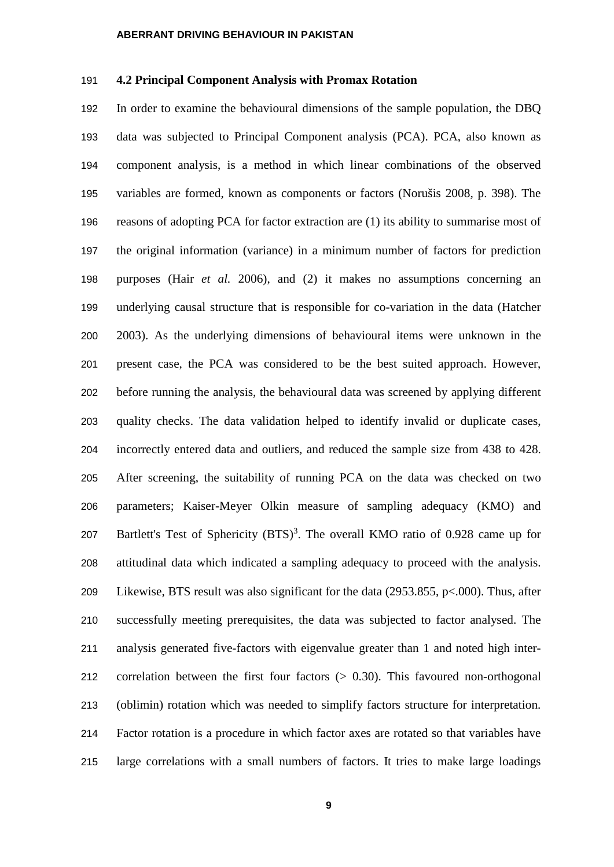# **4.2 Principal Component Analysis with Promax Rotation**

 In order to examine the behavioural dimensions of the sample population, the DBQ data was subjected to Principal Component analysis (PCA). PCA, also known as component analysis, is a method in which linear combinations of the observed variables are formed, known as components or factors (Norušis 2008, p. 398). The reasons of adopting PCA for factor extraction are (1) its ability to summarise most of the original information (variance) in a minimum number of factors for prediction purposes (Hair *et al.* [2006\)](#page-23-12), and (2) it makes no assumptions concerning an underlying causal structure that is responsible for co-variation in the data (Hatcher 2003). As the underlying dimensions of behavioural items were unknown in the present case, the PCA was considered to be the best suited approach. However, before running the analysis, the behavioural data was screened by applying different quality checks. The data validation helped to identify invalid or duplicate cases, incorrectly entered data and outliers, and reduced the sample size from 438 to 428. After screening, the suitability of running PCA on the data was checked on two parameters; Kaiser-Meyer Olkin measure of sampling adequacy (KMO) and 207 Bartlett's Test of Sphericity  $(BTS)^3$ . The overall KMO ratio of 0.928 came up for attitudinal data which indicated a sampling adequacy to proceed with the analysis. Likewise, BTS result was also significant for the data (2953.855, p<.000). Thus, after successfully meeting prerequisites, the data was subjected to factor analysed. The analysis generated five-factors with eigenvalue greater than 1 and noted high inter- correlation between the first four factors (> 0.30). This favoured non-orthogonal (oblimin) rotation which was needed to simplify factors structure for interpretation. Factor rotation is a procedure in which factor axes are rotated so that variables have large correlations with a small numbers of factors. It tries to make large loadings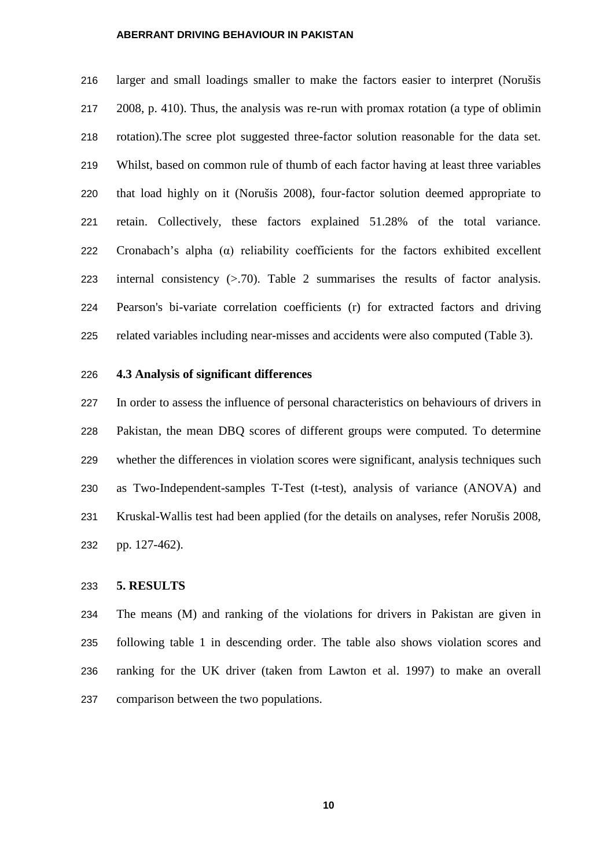larger and small loadings smaller to make the factors easier to interpret (Norušis 2008, p. 410). Thus, the analysis was re-run with promax rotation (a type of oblimin rotation).The scree plot suggested three-factor solution reasonable for the data set. Whilst, based on common rule of thumb of each factor having at least three variables that load highly on it [\(Norušis 2008\)](#page-24-1), four-factor solution deemed appropriate to retain. Collectively, these factors explained 51.28% of the total variance. 222 Cronabach's alpha  $(\alpha)$  reliability coefficients for the factors exhibited excellent internal consistency (>.70). Table 2 summarises the results of factor analysis. Pearson's bi-variate correlation coefficients (r) for extracted factors and driving related variables including near-misses and accidents were also computed (Table 3).

#### **4.3 Analysis of significant differences**

 In order to assess the influence of personal characteristics on behaviours of drivers in Pakistan, the mean DBQ scores of different groups were computed. To determine whether the differences in violation scores were significant, analysis techniques such as Two-Independent-samples T-Test (t-test), analysis of variance (ANOVA) and Kruskal-Wallis test had been applied (for the details on analyses, refer Norušis 2008, pp. 127-462).

#### **5. RESULTS**

 The means (M) and ranking of the violations for drivers in Pakistan are given in following table 1 in descending order. The table also shows violation scores and ranking for the UK driver (taken from Lawton et al. 1997) to make an overall comparison between the two populations.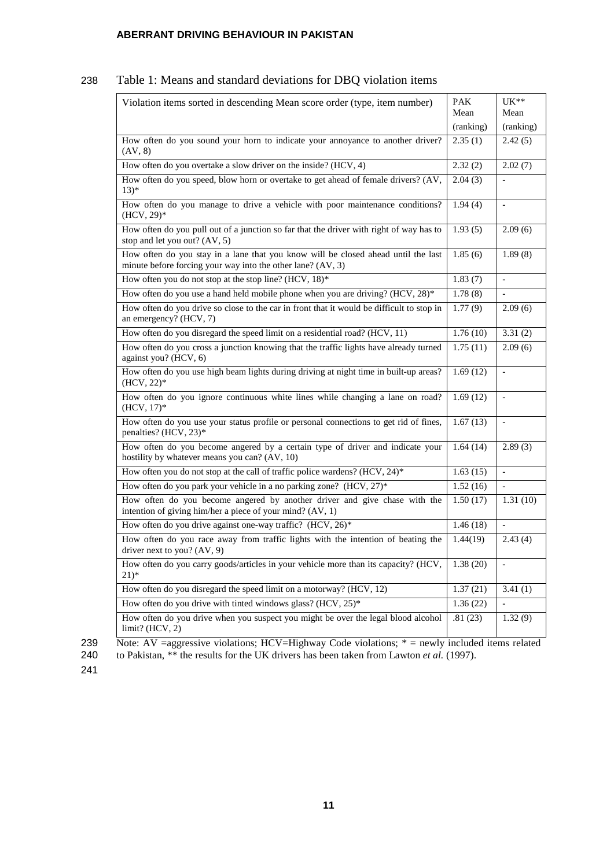# 238 Table 1: Means and standard deviations for DBQ violation items

| Violation items sorted in descending Mean score order (type, item number)                                                                        | <b>PAK</b><br>Mean | UK**<br>Mean             |
|--------------------------------------------------------------------------------------------------------------------------------------------------|--------------------|--------------------------|
|                                                                                                                                                  | (ranking)          | (ranking)                |
| How often do you sound your horn to indicate your annoyance to another driver?<br>$\left( \text{AV}, 8 \right)$                                  | 2.35(1)            | 2.42(5)                  |
| How often do you overtake a slow driver on the inside? (HCV, 4)                                                                                  | 2.32(2)            | 2.02(7)                  |
| How often do you speed, blow horn or overtake to get ahead of female drivers? (AV,<br>$13)*$                                                     | 2.04(3)            |                          |
| How often do you manage to drive a vehicle with poor maintenance conditions?<br>(HCV, 29)*                                                       | 1.94(4)            | $\blacksquare$           |
| How often do you pull out of a junction so far that the driver with right of way has to<br>stop and let you out? (AV, 5)                         | 1.93(5)            | 2.09(6)                  |
| How often do you stay in a lane that you know will be closed ahead until the last<br>minute before forcing your way into the other lane? (AV, 3) | 1.85(6)            | 1.89(8)                  |
| How often you do not stop at the stop line? (HCV, 18)*                                                                                           | 1.83(7)            | $\overline{a}$           |
| How often do you use a hand held mobile phone when you are driving? (HCV, 28)*                                                                   | 1.78(8)            | $\equiv$                 |
| How often do you drive so close to the car in front that it would be difficult to stop in<br>an emergency? (HCV, 7)                              | 1.77(9)            | 2.09(6)                  |
| How often do you disregard the speed limit on a residential road? (HCV, 11)                                                                      | 1.76(10)           | 3.31(2)                  |
| How often do you cross a junction knowing that the traffic lights have already turned<br>against you? (HCV, 6)                                   | 1.75(11)           | 2.09(6)                  |
| How often do you use high beam lights during driving at night time in built-up areas?<br>$(HCV, 22)*$                                            | 1.69(12)           | $\overline{\phantom{a}}$ |
| How often do you ignore continuous white lines while changing a lane on road?<br>$(HCV, 17)^*$                                                   | 1.69(12)           | $\overline{\phantom{a}}$ |
| How often do you use your status profile or personal connections to get rid of fines,<br>penalties? (HCV, 23)*                                   | 1.67(13)           | $\bar{\phantom{a}}$      |
| How often do you become angered by a certain type of driver and indicate your<br>hostility by whatever means you can? (AV, 10)                   | 1.64(14)           | 2.89(3)                  |
| How often you do not stop at the call of traffic police wardens? (HCV, 24)*                                                                      | 1.63(15)           | $\blacksquare$           |
| How often do you park your vehicle in a no parking zone? (HCV, 27)*                                                                              | 1.52(16)           | $\mathbf{r}$             |
| How often do you become angered by another driver and give chase with the<br>intention of giving him/her a piece of your mind? (AV, 1)           | 1.50(17)           | 1.31(10)                 |
| How often do you drive against one-way traffic? (HCV, 26)*                                                                                       | 1.46(18)           |                          |
| How often do you race away from traffic lights with the intention of beating the<br>driver next to you? (AV, 9)                                  | 1.44(19)           | 2.43(4)                  |
| How often do you carry goods/articles in your vehicle more than its capacity? (HCV,<br>$21)*$                                                    | 1.38(20)           | $\overline{\phantom{a}}$ |
| How often do you disregard the speed limit on a motorway? (HCV, 12)                                                                              | 1.37(21)           | 3.41(1)                  |
| How often do you drive with tinted windows glass? (HCV, $25$ )*                                                                                  | 1.36(22)           | $\overline{a}$           |
| How often do you drive when you suspect you might be over the legal blood alcohol<br>$limit?$ (HCV, 2)                                           | .81(23)            | 1.32(9)                  |

239 Note: AV =aggressive violations; HCV=Highway Code violations;  $*$  = newly included items related to Pakistan,  $**$  the results for the UK drivers has been taken from Lawton *et al.* (1997).

to Pakistan, \*\* the results for the UK drivers has been taken from Lawton *et al.* (1997).

241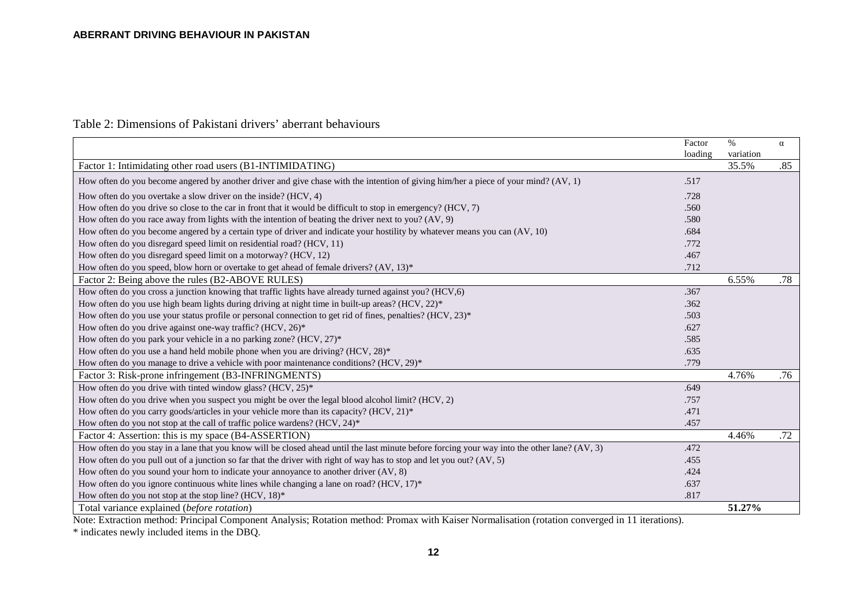# Table 2: Dimensions of Pakistani drivers' aberrant behaviours

|                                                                                                                                               | Factor  | $\%$      | $\alpha$ |
|-----------------------------------------------------------------------------------------------------------------------------------------------|---------|-----------|----------|
|                                                                                                                                               | loading | variation |          |
| Factor 1: Intimidating other road users (B1-INTIMIDATING)                                                                                     |         | 35.5%     | .85      |
| How often do you become angered by another driver and give chase with the intention of giving him/her a piece of your mind? (AV, 1)           | .517    |           |          |
| How often do you overtake a slow driver on the inside? (HCV, 4)                                                                               | .728    |           |          |
| How often do you drive so close to the car in front that it would be difficult to stop in emergency? (HCV, 7)                                 | .560    |           |          |
| How often do you race away from lights with the intention of beating the driver next to you? (AV, 9)                                          | .580    |           |          |
| How often do you become angered by a certain type of driver and indicate your hostility by whatever means you can (AV, 10)                    | .684    |           |          |
| How often do you disregard speed limit on residential road? (HCV, 11)                                                                         | .772    |           |          |
| How often do you disregard speed limit on a motorway? (HCV, 12)                                                                               | .467    |           |          |
| How often do you speed, blow horn or overtake to get ahead of female drivers? (AV, 13)*                                                       | .712    |           |          |
| Factor 2: Being above the rules (B2-ABOVE RULES)                                                                                              |         | 6.55%     | .78      |
| How often do you cross a junction knowing that traffic lights have already turned against you? (HCV,6)                                        | .367    |           |          |
| How often do you use high beam lights during driving at night time in built-up areas? (HCV, $22$ )*                                           | .362    |           |          |
| How often do you use your status profile or personal connection to get rid of fines, penalties? $(HCV, 23)^*$                                 | .503    |           |          |
| How often do you drive against one-way traffic? (HCV, 26)*                                                                                    | .627    |           |          |
| How often do you park your vehicle in a no parking zone? (HCV, 27)*                                                                           | .585    |           |          |
| How often do you use a hand held mobile phone when you are driving? (HCV, 28)*                                                                | .635    |           |          |
| How often do you manage to drive a vehicle with poor maintenance conditions? (HCV, 29)*                                                       | .779    |           |          |
| Factor 3: Risk-prone infringement (B3-INFRINGMENTS)                                                                                           |         | 4.76%     | .76      |
| How often do you drive with tinted window glass? (HCV, 25)*                                                                                   | .649    |           |          |
| How often do you drive when you suspect you might be over the legal blood alcohol limit? (HCV, 2)                                             | .757    |           |          |
| How often do you carry goods/articles in your vehicle more than its capacity? $(HCV, 21)^*$                                                   | .471    |           |          |
| How often do you not stop at the call of traffic police wardens? (HCV, 24)*                                                                   | .457    |           |          |
| Factor 4: Assertion: this is my space (B4-ASSERTION)                                                                                          |         | 4.46%     | .72      |
| How often do you stay in a lane that you know will be closed ahead until the last minute before forcing your way into the other lane? (AV, 3) | .472    |           |          |
| How often do you pull out of a junction so far that the driver with right of way has to stop and let you out? (AV, 5)                         | .455    |           |          |
| How often do you sound your horn to indicate your annoyance to another driver (AV, 8)                                                         | .424    |           |          |
| How often do you ignore continuous white lines while changing a lane on road? (HCV, 17)*                                                      | .637    |           |          |
| How often do you not stop at the stop line? (HCV, 18)*                                                                                        | .817    |           |          |
| Total variance explained (before rotation)                                                                                                    |         | 51.27%    |          |

Note: Extraction method: Principal Component Analysis; Rotation method: Promax with Kaiser Normalisation (rotation converged in 11 iterations).

\* indicates newly included items in the DBQ.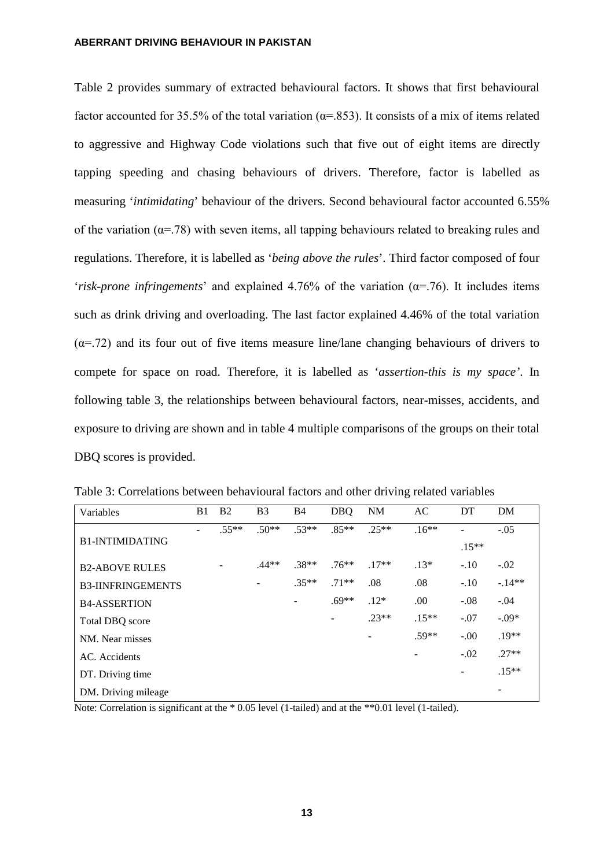Table 2 provides summary of extracted behavioural factors. It shows that first behavioural factor accounted for 35.5% of the total variation ( $\alpha$ =.853). It consists of a mix of items related to aggressive and Highway Code violations such that five out of eight items are directly tapping speeding and chasing behaviours of drivers. Therefore, factor is labelled as measuring '*intimidating*' behaviour of the drivers. Second behavioural factor accounted 6.55% of the variation ( $\alpha$ =.78) with seven items, all tapping behaviours related to breaking rules and regulations. Therefore, it is labelled as '*being above the rules*'. Third factor composed of four '*risk-prone infringements*' and explained 4.76% of the variation  $(\alpha = .76)$ . It includes items such as drink driving and overloading. The last factor explained 4.46% of the total variation  $(\alpha = .72)$  and its four out of five items measure line/lane changing behaviours of drivers to compete for space on road. Therefore, it is labelled as '*assertion-this is my space'*. In following table 3, the relationships between behavioural factors, near-misses, accidents, and exposure to driving are shown and in table 4 multiple comparisons of the groups on their total DBQ scores is provided.

| Variables                | B1 | B <sub>2</sub> | B <sub>3</sub> | <b>B4</b> | <b>DBQ</b>        | <b>NM</b> | AC      | DT      | DM      |
|--------------------------|----|----------------|----------------|-----------|-------------------|-----------|---------|---------|---------|
|                          |    | $.55**$        | $.50**$        | $.53**$   | $.85**$           | $.25**$   | $.16**$ | ۰       | $-.05$  |
| <b>B1-INTIMIDATING</b>   |    |                |                |           |                   |           |         | $.15**$ |         |
| <b>B2-ABOVE RULES</b>    |    |                | $.44**$        | $.38**$   | $.76***$          | $.17**$   | $.13*$  | $-.10$  | $-.02$  |
| <b>B3-IINFRINGEMENTS</b> |    |                |                | $.35**$   | $.71**$           | .08       | .08     | $-.10$  | $-14**$ |
| <b>B4-ASSERTION</b>      |    |                |                |           | $.69**$           | $.12*$    | .00     | $-.08$  | $-.04$  |
| Total DBQ score          |    |                |                |           | $\qquad \qquad -$ | $.23**$   | $.15**$ | $-.07$  | $-.09*$ |
| NM. Near misses          |    |                |                |           |                   |           | $.59**$ | $-.00$  | $.19**$ |
| AC. Accidents            |    |                |                |           |                   |           |         | $-.02$  | $.27**$ |
| DT. Driving time         |    |                |                |           |                   |           |         | -       | $.15**$ |
| DM. Driving mileage      |    |                |                |           |                   |           |         |         |         |

Table 3: Correlations between behavioural factors and other driving related variables

Note: Correlation is significant at the \* 0.05 level (1-tailed) and at the \*\*0.01 level (1-tailed).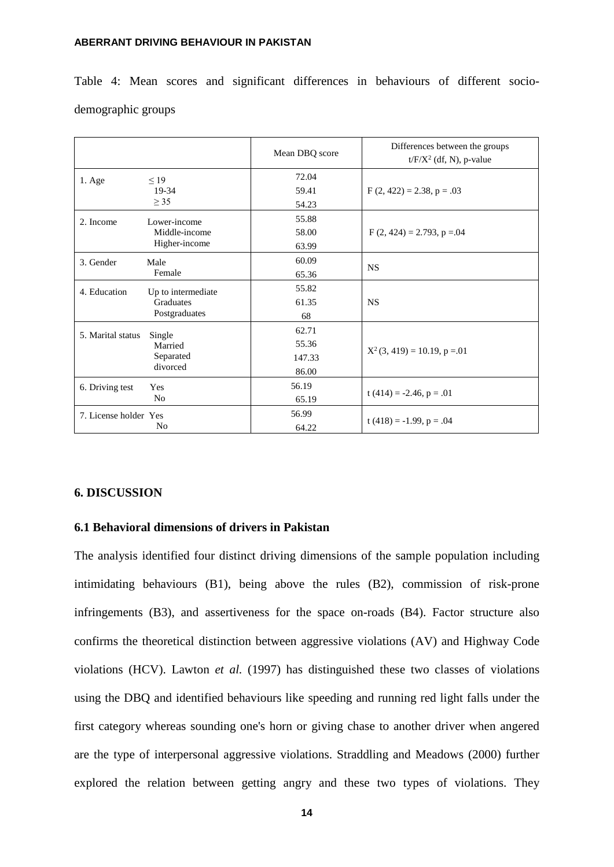Table 4: Mean scores and significant differences in behaviours of different sociodemographic groups

|                       |                                | Mean DBQ score | Differences between the groups<br>$t/F/X2$ (df, N), p-value |
|-----------------------|--------------------------------|----------------|-------------------------------------------------------------|
| 1. Age                | $\leq$ 19                      | 72.04          |                                                             |
|                       | 19-34<br>$\geq$ 35             | 59.41          | $F(2, 422) = 2.38, p = .03$                                 |
|                       |                                | 54.23          |                                                             |
| 2. Income             | Lower-income                   | 55.88          |                                                             |
|                       | Middle-income<br>Higher-income | 58.00          | $F(2, 424) = 2.793$ , $p = 0.04$                            |
|                       |                                | 63.99          |                                                             |
| 3. Gender             | Male                           | 60.09          |                                                             |
|                       | Female                         | 65.36          | <b>NS</b>                                                   |
| 4. Education          | Up to intermediate             | 55.82          |                                                             |
|                       | <b>Graduates</b>               | 61.35          | <b>NS</b>                                                   |
|                       | Postgraduates                  | 68             |                                                             |
| 5. Marital status     | Single                         | 62.71          |                                                             |
|                       | Married<br>Separated           | 55.36          | $X^2(3, 419) = 10.19$ , p = 01                              |
|                       |                                | 147.33         |                                                             |
|                       | divorced                       | 86.00          |                                                             |
| 6. Driving test       | <b>Yes</b>                     | 56.19          |                                                             |
|                       | N <sub>o</sub>                 | 65.19          | $t(414) = -2.46, p = .01$                                   |
| 7. License holder Yes |                                | 56.99          |                                                             |
|                       | N <sub>0</sub>                 | 64.22          | t $(418) = -1.99$ , p = .04                                 |

# **6. DISCUSSION**

# **6.1 Behavioral dimensions of drivers in Pakistan**

The analysis identified four distinct driving dimensions of the sample population including intimidating behaviours (B1), being above the rules (B2), commission of risk-prone infringements (B3), and assertiveness for the space on-roads (B4). Factor structure also confirms the theoretical distinction between aggressive violations (AV) and Highway Code violations (HCV). Lawton *et al.* (1997) has distinguished these two classes of violations using the DBQ and identified behaviours like speeding and running red light falls under the first category whereas sounding one's horn or giving chase to another driver when angered are the type of interpersonal aggressive violations. Straddling and Meadows (2000) further explored the relation between getting angry and these two types of violations. They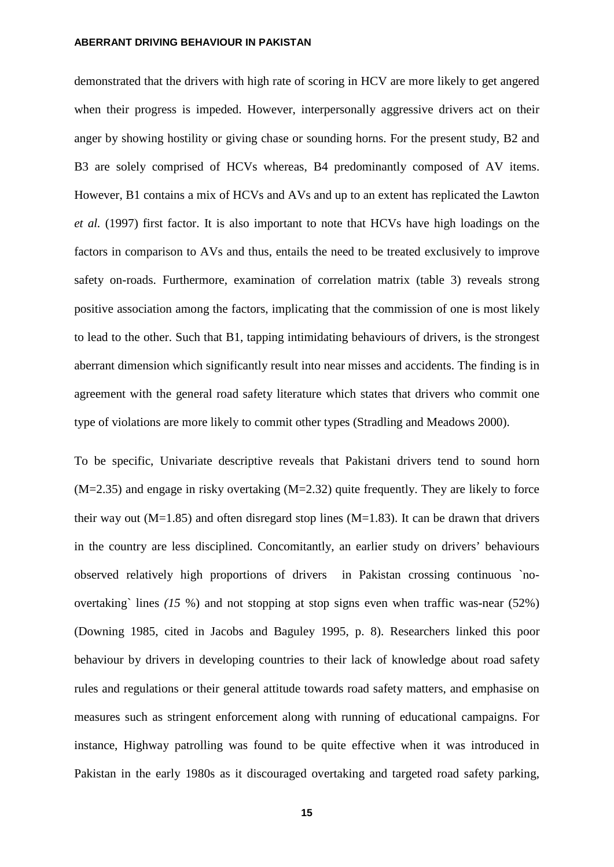demonstrated that the drivers with high rate of scoring in HCV are more likely to get angered when their progress is impeded. However, interpersonally aggressive drivers act on their anger by showing hostility or giving chase or sounding horns. For the present study, B2 and B3 are solely comprised of HCVs whereas, B4 predominantly composed of AV items. However, B1 contains a mix of HCVs and AVs and up to an extent has replicated the Lawton *et al.* (1997) first factor. It is also important to note that HCVs have high loadings on the factors in comparison to AVs and thus, entails the need to be treated exclusively to improve safety on-roads. Furthermore, examination of correlation matrix (table 3) reveals strong positive association among the factors, implicating that the commission of one is most likely to lead to the other. Such that B1, tapping intimidating behaviours of drivers, is the strongest aberrant dimension which significantly result into near misses and accidents. The finding is in agreement with the general road safety literature which states that drivers who commit one type of violations are more likely to commit other types [\(Stradling and Meadows 2000\)](#page-24-2).

To be specific, Univariate descriptive reveals that Pakistani drivers tend to sound horn (M=2.35) and engage in risky overtaking (M=2.32) quite frequently. They are likely to force their way out  $(M=1.85)$  and often disregard stop lines  $(M=1.83)$ . It can be drawn that drivers in the country are less disciplined. Concomitantly, an earlier study on drivers' behaviours observed relatively high proportions of drivers in Pakistan crossing continuous `noovertaking` lines *(15* %) and not stopping at stop signs even when traffic was-near (52%) (Downing 1985, cited in Jacobs and Baguley 1995, p. 8). Researchers linked this poor behaviour by drivers in developing countries to their lack of knowledge about road safety rules and regulations or their general attitude towards road safety matters, and emphasise on measures such as stringent enforcement along with running of educational campaigns. For instance, Highway patrolling was found to be quite effective when it was introduced in Pakistan in the early 1980s as it discouraged overtaking and targeted road safety parking,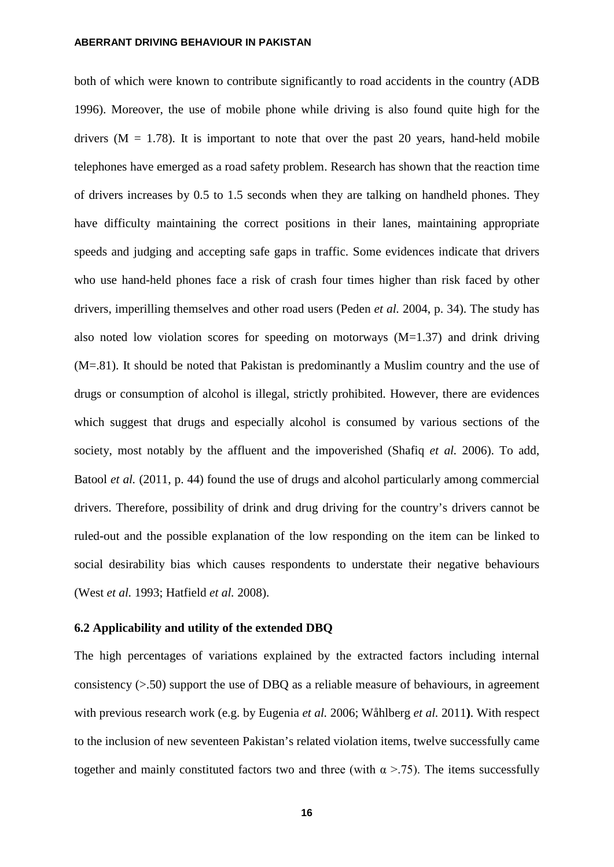both of which were known to contribute significantly to road accidents in the country (ADB 1996). Moreover, the use of mobile phone while driving is also found quite high for the drivers ( $M = 1.78$ ). It is important to note that over the past 20 years, hand-held mobile telephones have emerged as a road safety problem. Research has shown that the reaction time of drivers increases by 0.5 to 1.5 seconds when they are talking on handheld phones. They have difficulty maintaining the correct positions in their lanes, maintaining appropriate speeds and judging and accepting safe gaps in traffic. Some evidences indicate that drivers who use hand-held phones face a risk of crash four times higher than risk faced by other drivers, imperilling themselves and other road users (Peden *et al.* 2004, p. 34). The study has also noted low violation scores for speeding on motorways  $(M=1.37)$  and drink driving (M=.81). It should be noted that Pakistan is predominantly a Muslim country and the use of drugs or consumption of alcohol is illegal, strictly prohibited. However, there are evidences which suggest that drugs and especially alcohol is consumed by various sections of the society, most notably by the affluent and the impoverished (Shafiq *et al.* 2006). To add, Batool *et al.* (2011, p. 44) found the use of drugs and alcohol particularly among commercial drivers. Therefore, possibility of drink and drug driving for the country's drivers cannot be ruled-out and the possible explanation of the low responding on the item can be linked to social desirability bias which causes respondents to understate their negative behaviours [\(West](#page-24-3) *et al.* 1993; [Hatfield](#page-23-13) *et al.* 2008).

#### **6.2 Applicability and utility of the extended DBQ**

The high percentages of variations explained by the extracted factors including internal consistency (>.50) support the use of DBQ as a reliable measure of behaviours, in agreement with previous research work (e.g. by Eugenia *et al.* 2006; [Wåhlberg](#page-23-13) *et al.* 2011**)**. With respect to the inclusion of new seventeen Pakistan's related violation items, twelve successfully came together and mainly constituted factors two and three (with  $\alpha$  >.75). The items successfully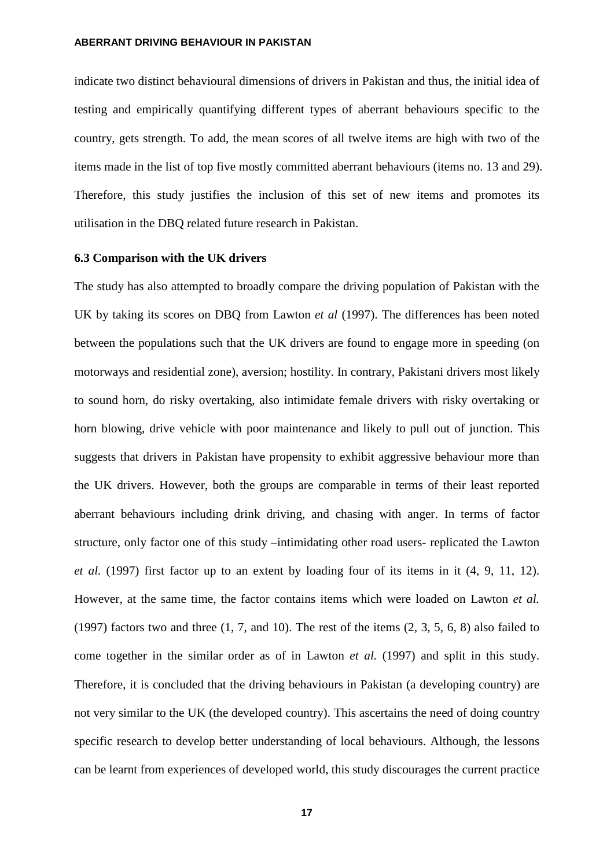indicate two distinct behavioural dimensions of drivers in Pakistan and thus, the initial idea of testing and empirically quantifying different types of aberrant behaviours specific to the country, gets strength. To add, the mean scores of all twelve items are high with two of the items made in the list of top five mostly committed aberrant behaviours (items no. 13 and 29). Therefore, this study justifies the inclusion of this set of new items and promotes its utilisation in the DBQ related future research in Pakistan.

# **6.3 Comparison with the UK drivers**

The study has also attempted to broadly compare the driving population of Pakistan with the UK by taking its scores on DBQ from Lawton *et al* (1997). The differences has been noted between the populations such that the UK drivers are found to engage more in speeding (on motorways and residential zone), aversion; hostility. In contrary, Pakistani drivers most likely to sound horn, do risky overtaking, also intimidate female drivers with risky overtaking or horn blowing, drive vehicle with poor maintenance and likely to pull out of junction. This suggests that drivers in Pakistan have propensity to exhibit aggressive behaviour more than the UK drivers. However, both the groups are comparable in terms of their least reported aberrant behaviours including drink driving, and chasing with anger. In terms of factor structure, only factor one of this study –intimidating other road users- replicated the Lawton *et al.* (1997) first factor up to an extent by loading four of its items in it (4, 9, 11, 12). However, at the same time, the factor contains items which were loaded on Lawton *et al.* (1997) factors two and three (1, 7, and 10). The rest of the items (2, 3, 5, 6, 8) also failed to come together in the similar order as of in Lawton *et al.* (1997) and split in this study. Therefore, it is concluded that the driving behaviours in Pakistan (a developing country) are not very similar to the UK (the developed country). This ascertains the need of doing country specific research to develop better understanding of local behaviours. Although, the lessons can be learnt from experiences of developed world, this study discourages the current practice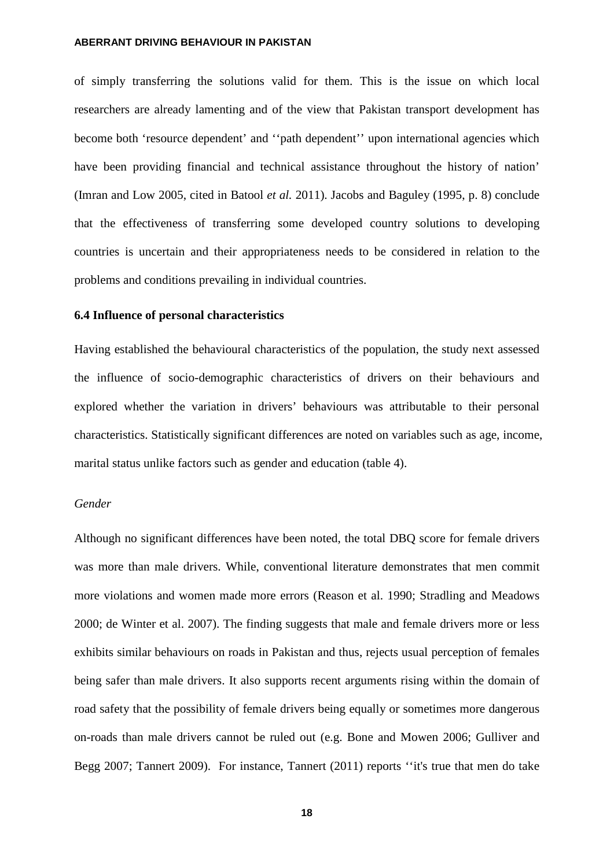of simply transferring the solutions valid for them. This is the issue on which local researchers are already lamenting and of the view that Pakistan transport development has become both 'resource dependent' and "path dependent" upon international agencies which have been providing financial and technical assistance throughout the history of nation' (Imran and Low 2005, cited in Batool *et al.* 2011). Jacobs and Baguley (1995, p. 8) conclude that the effectiveness of transferring some developed country solutions to developing countries is uncertain and their appropriateness needs to be considered in relation to the problems and conditions prevailing in individual countries.

# **6.4 Influence of personal characteristics**

Having established the behavioural characteristics of the population, the study next assessed the influence of socio-demographic characteristics of drivers on their behaviours and explored whether the variation in drivers' behaviours was attributable to their personal characteristics. Statistically significant differences are noted on variables such as age, income, marital status unlike factors such as gender and education (table 4).

# *Gender*

Although no significant differences have been noted, the total DBQ score for female drivers was more than male drivers. While, conventional literature demonstrates that men commit more violations and women made more errors [\(Reason et al. 1990;](#page-24-4) [Stradling and Meadows](#page-25-0)  [2000;](#page-25-0) [de Winter et al. 2007\)](#page-23-14). The finding suggests that male and female drivers more or less exhibits similar behaviours on roads in Pakistan and thus, rejects usual perception of females being safer than male drivers. It also supports recent arguments rising within the domain of road safety that the possibility of female drivers being equally or sometimes more dangerous on-roads than male drivers cannot be ruled out (e.g. [Bone and Mowen 2006;](#page-23-15) [Gulliver and](#page-23-14)  [Begg 2007;](#page-23-14) [Tannert 2009\)](#page-23-16). For instance, Tannert (2011) reports ''it's true that men do take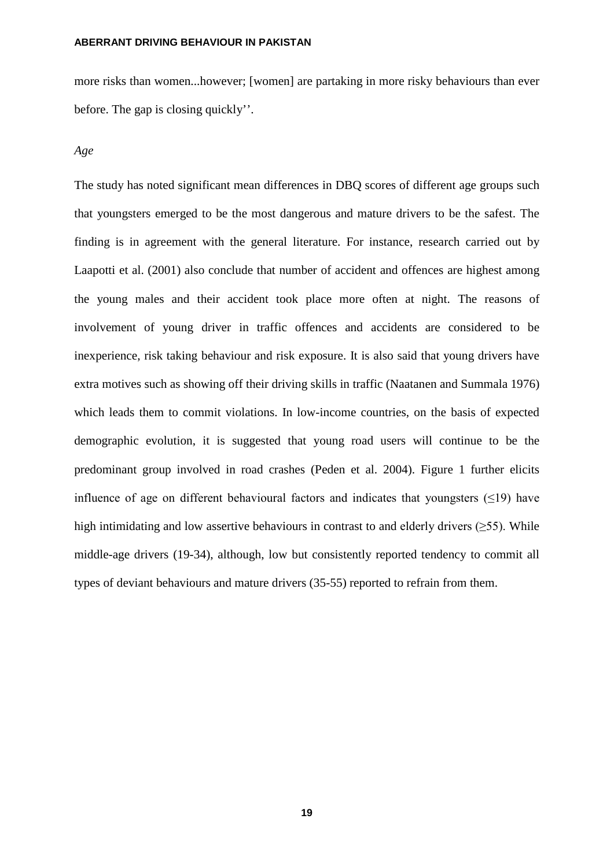more risks than women...however; [women] are partaking in more risky behaviours than ever before. The gap is closing quickly''.

#### *Age*

The study has noted significant mean differences in DBQ scores of different age groups such that youngsters emerged to be the most dangerous and mature drivers to be the safest. The finding is in agreement with the general literature. For instance, research carried out by Laapotti et al. (2001) also conclude that number of accident and offences are highest among the young males and their accident took place more often at night. The reasons of involvement of young driver in traffic offences and accidents are considered to be inexperience, risk taking behaviour and risk exposure. It is also said that young drivers have extra motives such as showing off their driving skills in traffic (Naatanen and Summala 1976) which leads them to commit violations. In low-income countries, on the basis of expected demographic evolution, it is suggested that young road users will continue to be the predominant group involved in road crashes (Peden et al. 2004). Figure 1 further elicits influence of age on different behavioural factors and indicates that youngsters  $(\leq 19)$  have high intimidating and low assertive behaviours in contrast to and elderly drivers ( $\geq$ 55). While middle-age drivers (19-34), although, low but consistently reported tendency to commit all types of deviant behaviours and mature drivers (35-55) reported to refrain from them.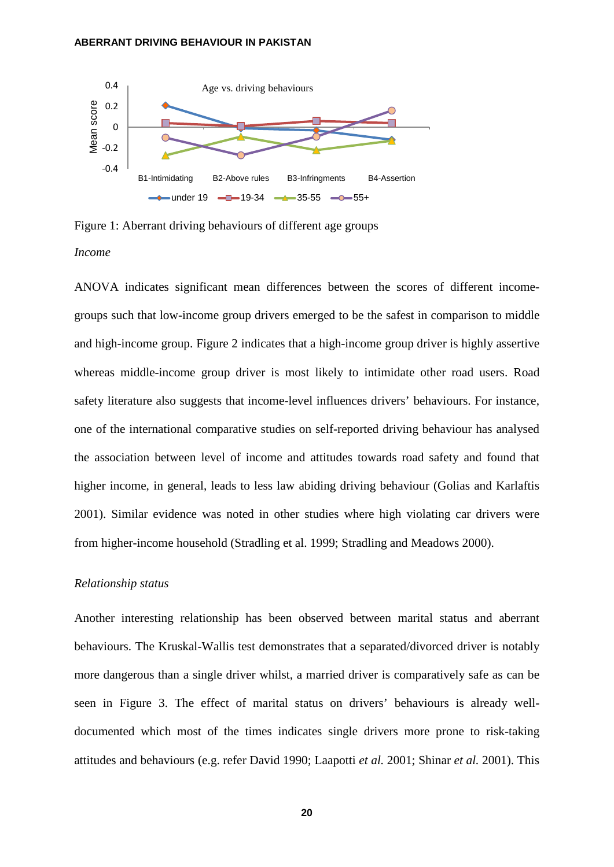

Figure 1: Aberrant driving behaviours of different age groups *Income* 

ANOVA indicates significant mean differences between the scores of different incomegroups such that low-income group drivers emerged to be the safest in comparison to middle and high-income group. Figure 2 indicates that a high-income group driver is highly assertive whereas middle-income group driver is most likely to intimidate other road users. Road safety literature also suggests that income-level influences drivers' behaviours. For instance, one of the international comparative studies on self-reported driving behaviour has analysed the association between level of income and attitudes towards road safety and found that higher income, in general, leads to less law abiding driving behaviour [\(Golias and Karlaftis](#page-23-17)  [2001\)](#page-23-17). Similar evidence was noted in other studies where high violating car drivers were from higher-income household [\(Stradling et al. 1999;](#page-25-1) [Stradling and Meadows 2000\)](#page-25-2).

# *Relationship status*

Another interesting relationship has been observed between marital status and aberrant behaviours. The Kruskal-Wallis test demonstrates that a separated/divorced driver is notably more dangerous than a single driver whilst, a married driver is comparatively safe as can be seen in Figure 3. The effect of marital status on drivers' behaviours is already welldocumented which most of the times indicates single drivers more prone to risk-taking attitudes and behaviours (e.g. refer [David 1990;](#page-23-18) [Laapotti](#page-23-19) *et al.* 2001; [Shinar](#page-23-20) *et al.* 2001). This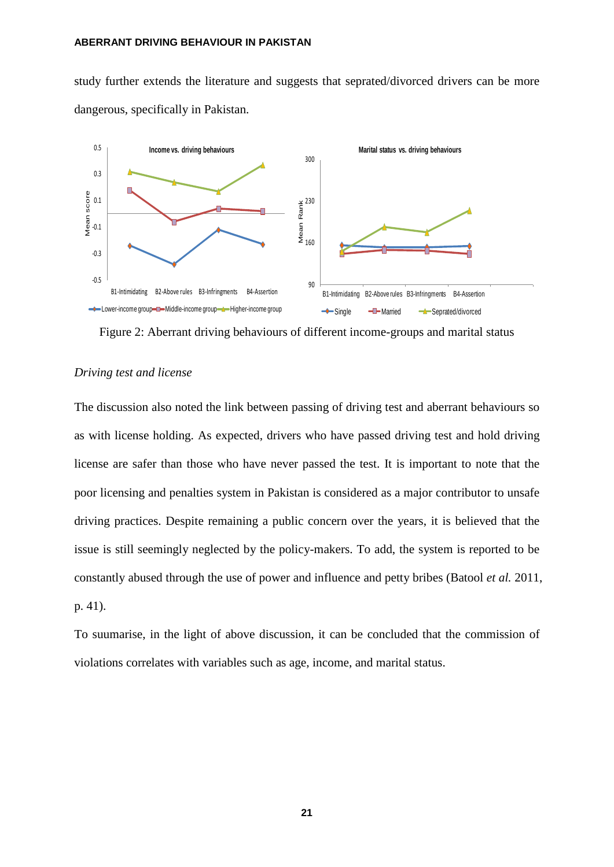study further extends the literature and suggests that seprated/divorced drivers can be more dangerous, specifically in Pakistan.



Figure 2: Aberrant driving behaviours of different income-groups and marital status

# *Driving test and license*

The discussion also noted the link between passing of driving test and aberrant behaviours so as with license holding. As expected, drivers who have passed driving test and hold driving license are safer than those who have never passed the test. It is important to note that the poor licensing and penalties system in Pakistan is considered as a major contributor to unsafe driving practices. Despite remaining a public concern over the years, it is believed that the issue is still seemingly neglected by the policy-makers. To add, the system is reported to be constantly abused through the use of power and influence and petty bribes (Batool *et al.* 2011, p. 41).

To suumarise, in the light of above discussion, it can be concluded that the commission of violations correlates with variables such as age, income, and marital status.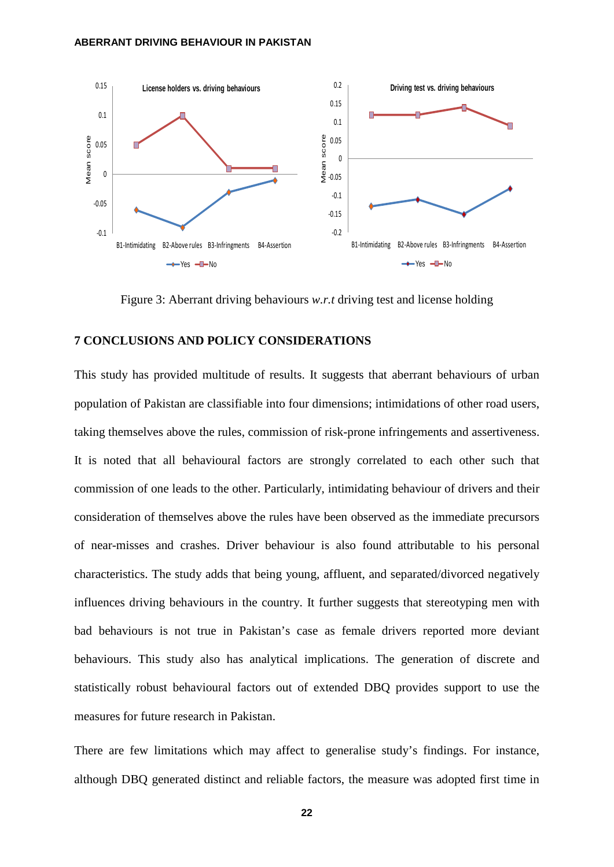

Figure 3: Aberrant driving behaviours *w.r.t* driving test and license holding

### **7 CONCLUSIONS AND POLICY CONSIDERATIONS**

This study has provided multitude of results. It suggests that aberrant behaviours of urban population of Pakistan are classifiable into four dimensions; intimidations of other road users, taking themselves above the rules, commission of risk-prone infringements and assertiveness. It is noted that all behavioural factors are strongly correlated to each other such that commission of one leads to the other. Particularly, intimidating behaviour of drivers and their consideration of themselves above the rules have been observed as the immediate precursors of near-misses and crashes. Driver behaviour is also found attributable to his personal characteristics. The study adds that being young, affluent, and separated/divorced negatively influences driving behaviours in the country. It further suggests that stereotyping men with bad behaviours is not true in Pakistan's case as female drivers reported more deviant behaviours. This study also has analytical implications. The generation of discrete and statistically robust behavioural factors out of extended DBQ provides support to use the measures for future research in Pakistan.

There are few limitations which may affect to generalise study's findings. For instance, although DBQ generated distinct and reliable factors, the measure was adopted first time in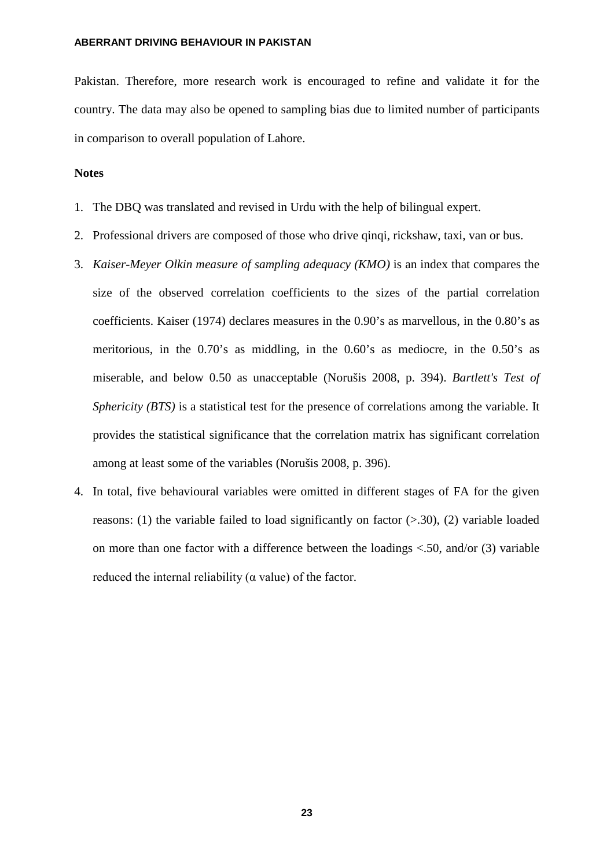<span id="page-23-15"></span><span id="page-23-0"></span>Pakistan. Therefore, more research work is encouraged to refine and validate it for the country. The data may also be opened to sampling bias due to limited number of participants in comparison to overall population of Lahore.

### <span id="page-23-18"></span><span id="page-23-2"></span><span id="page-23-1"></span>**Notes**

- 1. The DBQ was translated and revised in Urdu with the help of bilingual expert.
- 2. Professional drivers are composed of those who drive qinqi, rickshaw, taxi, van or bus.
- <span id="page-23-14"></span><span id="page-23-8"></span><span id="page-23-3"></span>3. *Kaiser-Meyer Olkin measure of sampling adequacy (KMO)* is an index that compares the size of the observed correlation coefficients to the sizes of the partial correlation coefficients. Kaiser (1974) declares measures in the 0.90's as marvellous, in the 0.80's as meritorious, in the 0.70's as middling, in the 0.60's as mediocre, in the 0.50's as miserable, and below 0.50 as unacceptable (Norušis 2008, p. 394). *Bartlett's Test of Sphericity (BTS)* is a statistical test for the presence of correlations among the variable. It provides the statistical significance that the correlation matrix has significant correlation among at least some of the variables (Norušis 2008, p. 396).
- <span id="page-23-20"></span><span id="page-23-19"></span><span id="page-23-17"></span><span id="page-23-16"></span><span id="page-23-13"></span><span id="page-23-12"></span><span id="page-23-11"></span><span id="page-23-10"></span><span id="page-23-9"></span><span id="page-23-7"></span><span id="page-23-6"></span><span id="page-23-5"></span><span id="page-23-4"></span>4. In total, five behavioural variables were omitted in different stages of FA for the given reasons: (1) the variable failed to load significantly on factor  $(> 0.30)$ , (2) variable loaded on more than one factor with a difference between the loadings <.50, and/or (3) variable reduced the internal reliability ( $\alpha$  value) of the factor.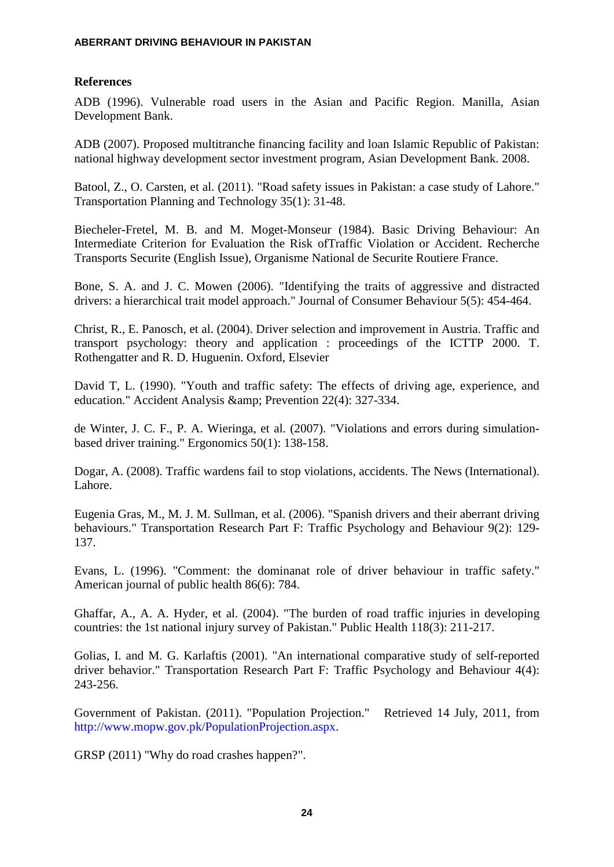# <span id="page-24-0"></span>**References**

ADB (1996). Vulnerable road users in the Asian and Pacific Region. Manilla, Asian Development Bank.

ADB (2007). Proposed multitranche financing facility and loan Islamic Republic of Pakistan: national highway development sector investment program, Asian Development Bank. 2008.

<span id="page-24-3"></span>Batool, Z., O. Carsten, et al. (2011). "Road safety issues in Pakistan: a case study of Lahore." Transportation Planning and Technology 35(1): 31-48.

<span id="page-24-2"></span>Biecheler-Fretel, M. B. and M. Moget-Monseur (1984). Basic Driving Behaviour: An Intermediate Criterion for Evaluation the Risk ofTraffic Violation or Accident. Recherche Transports Securite (English Issue), Organisme National de Securite Routiere France.

Bone, S. A. and J. C. Mowen (2006). "Identifying the traits of aggressive and distracted drivers: a hierarchical trait model approach." Journal of Consumer Behaviour 5(5): 454-464.

Christ, R., E. Panosch, et al. (2004). Driver selection and improvement in Austria. Traffic and transport psychology: theory and application : proceedings of the ICTTP 2000. T. Rothengatter and R. D. Huguenin. Oxford, Elsevier

David T, L. (1990). "Youth and traffic safety: The effects of driving age, experience, and education." Accident Analysis & amp; Prevention 22(4): 327-334.

de Winter, J. C. F., P. A. Wieringa, et al. (2007). "Violations and errors during simulationbased driver training." Ergonomics 50(1): 138-158.

Dogar, A. (2008). Traffic wardens fail to stop violations, accidents. The News (International). Lahore.

Eugenia Gras, M., M. J. M. Sullman, et al. (2006). "Spanish drivers and their aberrant driving behaviours." Transportation Research Part F: Traffic Psychology and Behaviour 9(2): 129- 137.

<span id="page-24-1"></span>Evans, L. (1996). "Comment: the dominanat role of driver behaviour in traffic safety." American journal of public health 86(6): 784.

Ghaffar, A., A. A. Hyder, et al. (2004). "The burden of road traffic injuries in developing countries: the 1st national injury survey of Pakistan." Public Health 118(3): 211-217.

Golias, I. and M. G. Karlaftis (2001). "An international comparative study of self-reported driver behavior." Transportation Research Part F: Traffic Psychology and Behaviour 4(4): 243-256.

Government of Pakistan. (2011). "Population Projection." Retrieved 14 July, 2011, from [http://www.mopw.gov.pk/PopulationProjection.aspx.](http://www.mopw.gov.pk/PopulationProjection.aspx)

<span id="page-24-4"></span>GRSP (2011) "Why do road crashes happen?".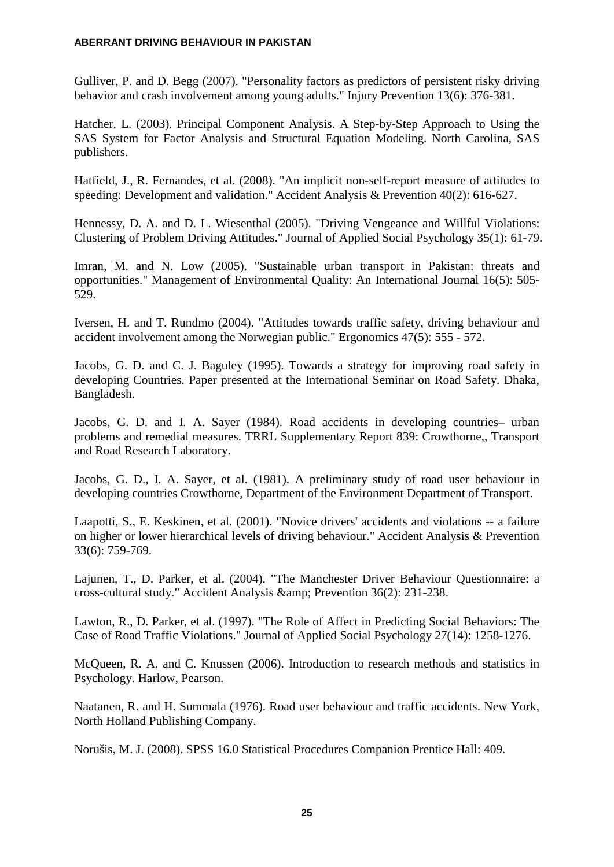Gulliver, P. and D. Begg (2007). "Personality factors as predictors of persistent risky driving behavior and crash involvement among young adults." Injury Prevention 13(6): 376-381.

Hatcher, L. (2003). Principal Component Analysis. A Step-by-Step Approach to Using the SAS System for Factor Analysis and Structural Equation Modeling. North Carolina, SAS publishers.

Hatfield, J., R. Fernandes, et al. (2008). "An implicit non-self-report measure of attitudes to speeding: Development and validation." Accident Analysis & Prevention 40(2): 616-627.

<span id="page-25-0"></span>Hennessy, D. A. and D. L. Wiesenthal (2005). "Driving Vengeance and Willful Violations: Clustering of Problem Driving Attitudes." Journal of Applied Social Psychology 35(1): 61-79.

Imran, M. and N. Low (2005). "Sustainable urban transport in Pakistan: threats and opportunities." Management of Environmental Quality: An International Journal 16(5): 505- 529.

Iversen, H. and T. Rundmo (2004). "Attitudes towards traffic safety, driving behaviour and accident involvement among the Norwegian public." Ergonomics 47(5): 555 - 572.

<span id="page-25-2"></span>Jacobs, G. D. and C. J. Baguley (1995). Towards a strategy for improving road safety in developing Countries. Paper presented at the International Seminar on Road Safety. Dhaka, Bangladesh.

<span id="page-25-1"></span>Jacobs, G. D. and I. A. Sayer (1984). Road accidents in developing countries– urban problems and remedial measures. TRRL Supplementary Report 839: Crowthorne,, Transport and Road Research Laboratory.

Jacobs, G. D., I. A. Sayer, et al. (1981). A preliminary study of road user behaviour in developing countries Crowthorne, Department of the Environment Department of Transport.

Laapotti, S., E. Keskinen, et al. (2001). "Novice drivers' accidents and violations -- a failure on higher or lower hierarchical levels of driving behaviour." Accident Analysis & Prevention 33(6): 759-769.

Lajunen, T., D. Parker, et al. (2004). "The Manchester Driver Behaviour Questionnaire: a cross-cultural study." Accident Analysis & amp: Prevention 36(2): 231-238.

Lawton, R., D. Parker, et al. (1997). "The Role of Affect in Predicting Social Behaviors: The Case of Road Traffic Violations." Journal of Applied Social Psychology 27(14): 1258-1276.

McQueen, R. A. and C. Knussen (2006). Introduction to research methods and statistics in Psychology. Harlow, Pearson.

Naatanen, R. and H. Summala (1976). Road user behaviour and traffic accidents. New York, North Holland Publishing Company.

Norušis, M. J. (2008). SPSS 16.0 Statistical Procedures Companion Prentice Hall: 409.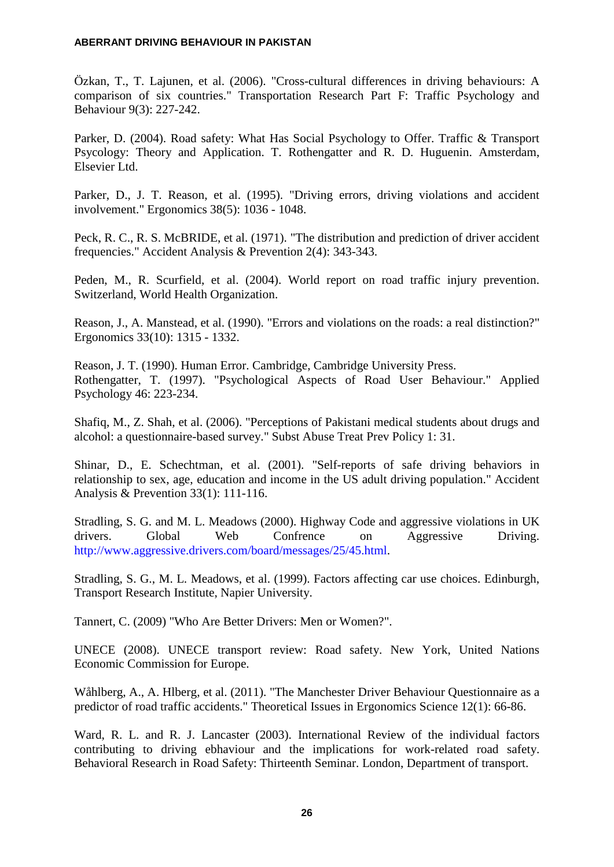Özkan, T., T. Lajunen, et al. (2006). "Cross-cultural differences in driving behaviours: A comparison of six countries." Transportation Research Part F: Traffic Psychology and Behaviour 9(3): 227-242.

Parker, D. (2004). Road safety: What Has Social Psychology to Offer. Traffic & Transport Psycology: Theory and Application. T. Rothengatter and R. D. Huguenin. Amsterdam, Elsevier Ltd.

<span id="page-26-0"></span>Parker, D., J. T. Reason, et al. (1995). "Driving errors, driving violations and accident involvement." Ergonomics 38(5): 1036 - 1048.

Peck, R. C., R. S. McBRIDE, et al. (1971). "The distribution and prediction of driver accident frequencies." Accident Analysis & Prevention 2(4): 343-343.

Peden, M., R. Scurfield, et al. (2004). World report on road traffic injury prevention. Switzerland, World Health Organization.

Reason, J., A. Manstead, et al. (1990). "Errors and violations on the roads: a real distinction?" Ergonomics 33(10): 1315 - 1332.

Reason, J. T. (1990). Human Error. Cambridge, Cambridge University Press. Rothengatter, T. (1997). "Psychological Aspects of Road User Behaviour." Applied Psychology 46: 223-234.

Shafiq, M., Z. Shah, et al. (2006). "Perceptions of Pakistani medical students about drugs and alcohol: a questionnaire-based survey." Subst Abuse Treat Prev Policy 1: 31.

Shinar, D., E. Schechtman, et al. (2001). "Self-reports of safe driving behaviors in relationship to sex, age, education and income in the US adult driving population." Accident Analysis & Prevention 33(1): 111-116.

Stradling, S. G. and M. L. Meadows (2000). Highway Code and aggressive violations in UK drivers. Global Web Confrence on Aggressive Driving. [http://www.aggressive.drivers.com/board/messages/25/45.html.](http://www.aggressive.drivers.com/board/messages/25/45.html)

Stradling, S. G., M. L. Meadows, et al. (1999). Factors affecting car use choices. Edinburgh, Transport Research Institute, Napier University.

Tannert, C. (2009) "Who Are Better Drivers: Men or Women?".

UNECE (2008). UNECE transport review: Road safety. New York, United Nations Economic Commission for Europe.

Wåhlberg, A., A. Hlberg, et al. (2011). "The Manchester Driver Behaviour Questionnaire as a predictor of road traffic accidents." Theoretical Issues in Ergonomics Science 12(1): 66-86.

Ward, R. L. and R. J. Lancaster (2003). International Review of the individual factors contributing to driving ebhaviour and the implications for work-related road safety. Behavioral Research in Road Safety: Thirteenth Seminar. London, Department of transport.